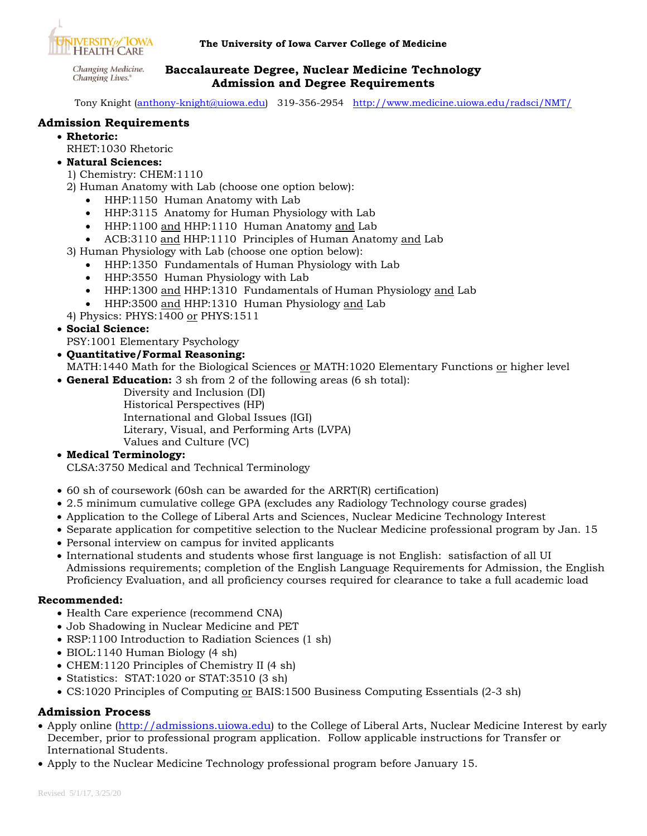

Changing Medicine. Changing Lives.<sup>®</sup>

## **Baccalaureate Degree, Nuclear Medicine Technology Admission and Degree Requirements**

Tony Knight [\(anthony-knight@uiowa.edu\)](mailto:anthony-knight@uiowa.edu) 319-356-2954 <http://www.medicine.uiowa.edu/radsci/NMT/>

## **Admission Requirements**

- **Rhetoric:**
	- RHET:1030 Rhetoric
- **Natural Sciences:**
	- 1) Chemistry: CHEM:1110
	- 2) Human Anatomy with Lab (choose one option below):
		- HHP:1150 Human Anatomy with Lab
		- HHP:3115 Anatomy for Human Physiology with Lab
		- HHP:1100 and HHP:1110 Human Anatomy and Lab
		- ACB:3110 and HHP:1110 Principles of Human Anatomy and Lab
	- 3) Human Physiology with Lab (choose one option below):
		- HHP:1350 Fundamentals of Human Physiology with Lab
		- HHP:3550 Human Physiology with Lab
		- HHP:1300 and HHP:1310 Fundamentals of Human Physiology and Lab
		- HHP:3500 and HHP:1310 Human Physiology and Lab
	- 4) Physics: PHYS: 1400 or PHYS: 1511
- **Social Science:**
	- PSY:1001 Elementary Psychology
- **Quantitative/Formal Reasoning:**
- MATH:1440 Math for the Biological Sciences or MATH:1020 Elementary Functions or higher level
- **General Education:** 3 sh from 2 of the following areas (6 sh total):
	- Diversity and Inclusion (DI) Historical Perspectives (HP) International and Global Issues (IGI) Literary, Visual, and Performing Arts (LVPA) Values and Culture (VC)

#### • **Medical Terminology:**

CLSA:3750 Medical and Technical Terminology

- 60 sh of coursework (60sh can be awarded for the ARRT(R) certification)
- 2.5 minimum cumulative college GPA (excludes any Radiology Technology course grades)
- Application to the College of Liberal Arts and Sciences, Nuclear Medicine Technology Interest
- Separate application for competitive selection to the Nuclear Medicine professional program by Jan. 15
- Personal interview on campus for invited applicants
- International students and students whose first language is not English: satisfaction of all UI Admissions requirements; completion of the English Language Requirements for Admission, the English Proficiency Evaluation, and all proficiency courses required for clearance to take a full academic load

#### **Recommended:**

- Health Care experience (recommend CNA)
- Job Shadowing in Nuclear Medicine and PET
- RSP:1100 Introduction to Radiation Sciences (1 sh)
- BIOL:1140 Human Biology (4 sh)
- CHEM:1120 Principles of Chemistry II (4 sh)
- Statistics: STAT:1020 or STAT:3510 (3 sh)
- CS:1020 Principles of Computing or BAIS:1500 Business Computing Essentials (2-3 sh)

## **Admission Process**

- Apply online [\(http://admissions.uiowa.edu\)](http://admissions.uiowa.edu/) to the College of Liberal Arts, Nuclear Medicine Interest by early December, prior to professional program application.Follow applicable instructions for Transfer or International Students.
- Apply to the Nuclear Medicine Technology professional program before January 15.